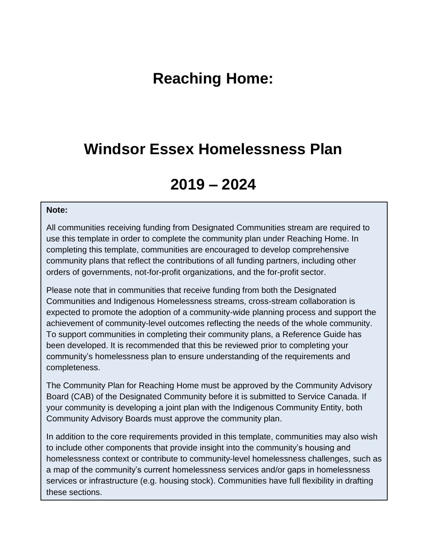## **Reaching Home:**

## **Windsor Essex Homelessness Plan**

# **2019 – 2024**

#### **Note:**

All communities receiving funding from Designated Communities stream are required to use this template in order to complete the community plan under Reaching Home. In completing this template, communities are encouraged to develop comprehensive community plans that reflect the contributions of all funding partners, including other orders of governments, not-for-profit organizations, and the for-profit sector.

Please note that in communities that receive funding from both the Designated Communities and Indigenous Homelessness streams, cross-stream collaboration is expected to promote the adoption of a community-wide planning process and support the achievement of community-level outcomes reflecting the needs of the whole community. To support communities in completing their community plans, a Reference Guide has been developed. It is recommended that this be reviewed prior to completing your community's homelessness plan to ensure understanding of the requirements and completeness.

The Community Plan for Reaching Home must be approved by the Community Advisory Board (CAB) of the Designated Community before it is submitted to Service Canada. If your community is developing a joint plan with the Indigenous Community Entity, both Community Advisory Boards must approve the community plan.

In addition to the core requirements provided in this template, communities may also wish to include other components that provide insight into the community's housing and homelessness context or contribute to community-level homelessness challenges, such as a map of the community's current homelessness services and/or gaps in homelessness services or infrastructure (e.g. housing stock). Communities have full flexibility in drafting these sections.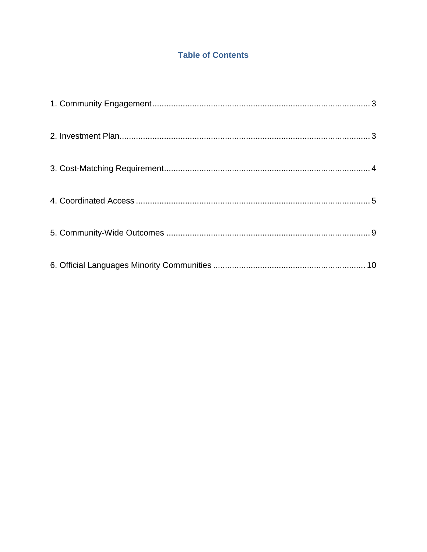## **Table of Contents**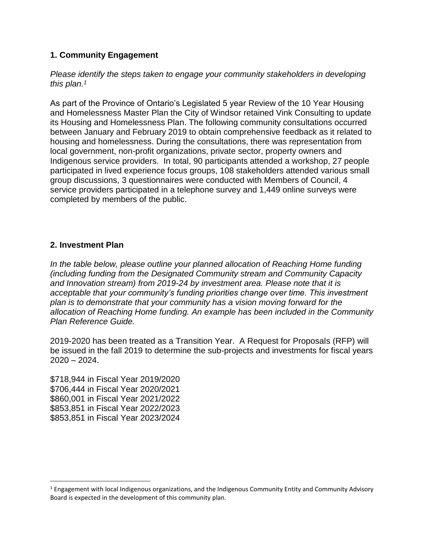## <span id="page-2-0"></span>**1. Community Engagement**

#### *Please identify the steps taken to engage your community stakeholders in developing this plan. 1*

As part of the Province of Ontario's Legislated 5 year Review of the 10 Year Housing and Homelessness Master Plan the City of Windsor retained Vink Consulting to update its Housing and Homelessness Plan. The following community consultations occurred between January and February 2019 to obtain comprehensive feedback as it related to housing and homelessness. During the consultations, there was representation from local government, non-profit organizations, private sector, property owners and Indigenous service providers. In total, 90 participants attended a workshop, 27 people participated in lived experience focus groups, 108 stakeholders attended various small group discussions, 3 questionnaires were conducted with Members of Council, 4 service providers participated in a telephone survey and 1,449 online surveys were completed by members of the public.

### <span id="page-2-1"></span>**2. Investment Plan**

*In the table below, please outline your planned allocation of Reaching Home funding (including funding from the Designated Community stream and Community Capacity and Innovation stream) from 2019-24 by investment area. Please note that it is acceptable that your community's funding priorities change over time. This investment plan is to demonstrate that your community has a vision moving forward for the allocation of Reaching Home funding. An example has been included in the Community Plan Reference Guide.*

2019-2020 has been treated as a Transition Year. A Request for Proposals (RFP) will be issued in the fall 2019 to determine the sub-projects and investments for fiscal years 2020 – 2024.

\$718,944 in Fiscal Year 2019/2020 \$706,444 in Fiscal Year 2020/2021 \$860,001 in Fiscal Year 2021/2022 \$853,851 in Fiscal Year 2022/2023 \$853,851 in Fiscal Year 2023/2024

 $\overline{\phantom{a}}$ 

 $1$  Engagement with local Indigenous organizations, and the Indigenous Community Entity and Community Advisory Board is expected in the development of this community plan.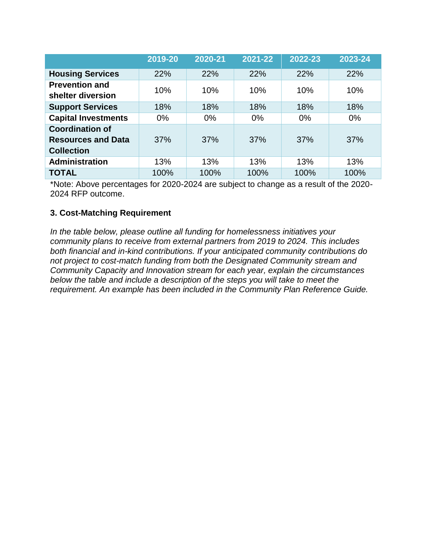|                                                                          | 2019-20 | 2020-21 | 2021-22 | 2022-23 | 2023-24 |
|--------------------------------------------------------------------------|---------|---------|---------|---------|---------|
| <b>Housing Services</b>                                                  | 22%     | 22%     | 22%     | 22%     | 22%     |
| <b>Prevention and</b><br>shelter diversion                               | 10%     | 10%     | 10%     | 10%     | 10%     |
| <b>Support Services</b>                                                  | 18%     | 18%     | 18%     | 18%     | 18%     |
| <b>Capital Investments</b>                                               | $0\%$   | $0\%$   | $0\%$   | $0\%$   | $0\%$   |
| <b>Coordination of</b><br><b>Resources and Data</b><br><b>Collection</b> | 37%     | 37%     | 37%     | 37%     | 37%     |
| <b>Administration</b>                                                    | 13%     | 13%     | 13%     | 13%     | 13%     |
| <b>TOTAL</b>                                                             | 100%    | 100%    | 100%    | 100%    | 100%    |

\*Note: Above percentages for 2020-2024 are subject to change as a result of the 2020- 2024 RFP outcome.

## <span id="page-3-0"></span>**3. Cost-Matching Requirement**

*In the table below, please outline all funding for homelessness initiatives your community plans to receive from external partners from 2019 to 2024. This includes both financial and in-kind contributions. If your anticipated community contributions do not project to cost-match funding from both the Designated Community stream and Community Capacity and Innovation stream for each year, explain the circumstances below the table and include a description of the steps you will take to meet the requirement. An example has been included in the Community Plan Reference Guide.*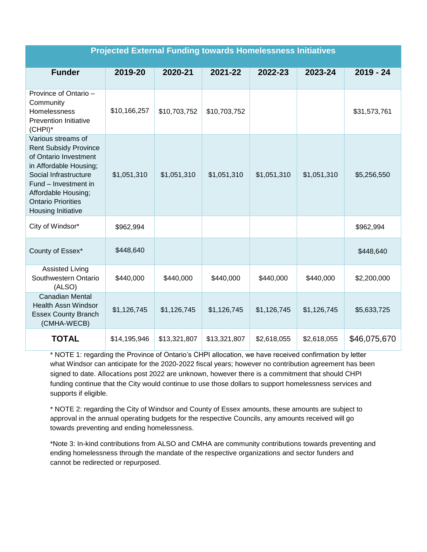| <b>Projected External Funding towards Homelessness Initiatives</b>                                                                                                                                                               |              |              |              |             |             |              |
|----------------------------------------------------------------------------------------------------------------------------------------------------------------------------------------------------------------------------------|--------------|--------------|--------------|-------------|-------------|--------------|
| <b>Funder</b>                                                                                                                                                                                                                    | 2019-20      | 2020-21      | 2021-22      | 2022-23     | 2023-24     | $2019 - 24$  |
| Province of Ontario -<br>Community<br>Homelessness<br><b>Prevention Initiative</b><br>$(CHPI)^*$                                                                                                                                 | \$10,166,257 | \$10,703,752 | \$10,703,752 |             |             | \$31,573,761 |
| Various streams of<br><b>Rent Subsidy Province</b><br>of Ontario Investment<br>in Affordable Housing;<br>Social Infrastructure<br>Fund - Investment in<br>Affordable Housing;<br><b>Ontario Priorities</b><br>Housing Initiative | \$1,051,310  | \$1,051,310  | \$1,051,310  | \$1,051,310 | \$1,051,310 | \$5,256,550  |
| City of Windsor*                                                                                                                                                                                                                 | \$962,994    |              |              |             |             | \$962,994    |
| County of Essex*                                                                                                                                                                                                                 | \$448,640    |              |              |             |             | \$448,640    |
| <b>Assisted Living</b><br>Southwestern Ontario<br>(ALSO)                                                                                                                                                                         | \$440,000    | \$440,000    | \$440,000    | \$440,000   | \$440,000   | \$2,200,000  |
| <b>Canadian Mental</b><br><b>Health Assn Windsor</b><br><b>Essex County Branch</b><br>(CMHA-WECB)                                                                                                                                | \$1,126,745  | \$1,126,745  | \$1,126,745  | \$1,126,745 | \$1,126,745 | \$5,633,725  |
| <b>TOTAL</b>                                                                                                                                                                                                                     | \$14,195,946 | \$13,321,807 | \$13,321,807 | \$2,618,055 | \$2,618,055 | \$46,075,670 |

<span id="page-4-0"></span>\* NOTE 1: regarding the Province of Ontario's CHPI allocation, we have received confirmation by letter what Windsor can anticipate for the 2020-2022 fiscal years; however no contribution agreement has been signed to date. Allocations post 2022 are unknown, however there is a commitment that should CHPI funding continue that the City would continue to use those dollars to support homelessness services and supports if eligible.

\* NOTE 2: regarding the City of Windsor and County of Essex amounts, these amounts are subject to approval in the annual operating budgets for the respective Councils, any amounts received will go towards preventing and ending homelessness.

\*Note 3: In-kind contributions from ALSO and CMHA are community contributions towards preventing and ending homelessness through the mandate of the respective organizations and sector funders and cannot be redirected or repurposed.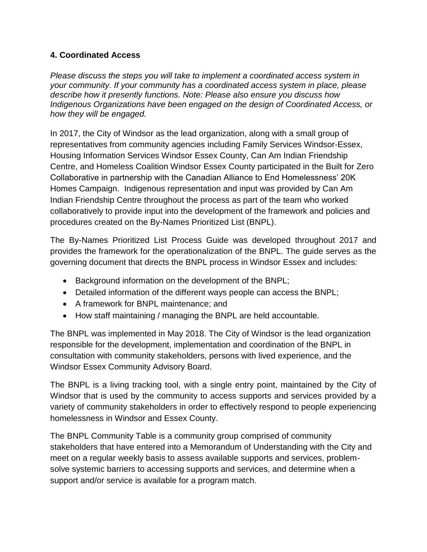## **4. Coordinated Access**

*Please discuss the steps you will take to implement a coordinated access system in your community. If your community has a coordinated access system in place, please describe how it presently functions. Note: Please also ensure you discuss how Indigenous Organizations have been engaged on the design of Coordinated Access, or how they will be engaged.* 

In 2017, the City of Windsor as the lead organization, along with a small group of representatives from community agencies including Family Services Windsor-Essex, Housing Information Services Windsor Essex County, Can Am Indian Friendship Centre, and Homeless Coalition Windsor Essex County participated in the Built for Zero Collaborative in partnership with the Canadian Alliance to End Homelessness' 20K Homes Campaign. Indigenous representation and input was provided by Can Am Indian Friendship Centre throughout the process as part of the team who worked collaboratively to provide input into the development of the framework and policies and procedures created on the By-Names Prioritized List (BNPL).

The By-Names Prioritized List Process Guide was developed throughout 2017 and provides the framework for the operationalization of the BNPL. The guide serves as the governing document that directs the BNPL process in Windsor Essex and includes:

- Background information on the development of the BNPL;
- Detailed information of the different ways people can access the BNPL;
- A framework for BNPL maintenance: and
- How staff maintaining / managing the BNPL are held accountable.

The BNPL was implemented in May 2018. The City of Windsor is the lead organization responsible for the development, implementation and coordination of the BNPL in consultation with community stakeholders, persons with lived experience, and the Windsor Essex Community Advisory Board.

The BNPL is a living tracking tool, with a single entry point, maintained by the City of Windsor that is used by the community to access supports and services provided by a variety of community stakeholders in order to effectively respond to people experiencing homelessness in Windsor and Essex County.

The BNPL Community Table is a community group comprised of community stakeholders that have entered into a Memorandum of Understanding with the City and meet on a regular weekly basis to assess available supports and services, problemsolve systemic barriers to accessing supports and services, and determine when a support and/or service is available for a program match.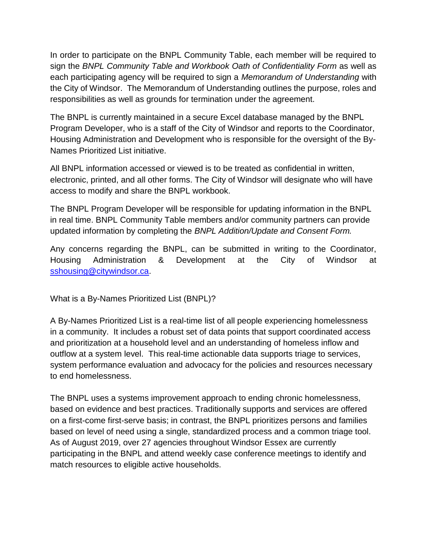In order to participate on the BNPL Community Table, each member will be required to sign the *BNPL Community Table and Workbook Oath of Confidentiality Form* as well as each participating agency will be required to sign a *Memorandum of Understanding* with the City of Windsor. The Memorandum of Understanding outlines the purpose, roles and responsibilities as well as grounds for termination under the agreement.

The BNPL is currently maintained in a secure Excel database managed by the BNPL Program Developer, who is a staff of the City of Windsor and reports to the Coordinator, Housing Administration and Development who is responsible for the oversight of the By-Names Prioritized List initiative.

All BNPL information accessed or viewed is to be treated as confidential in written, electronic, printed, and all other forms. The City of Windsor will designate who will have access to modify and share the BNPL workbook.

The BNPL Program Developer will be responsible for updating information in the BNPL in real time. BNPL Community Table members and/or community partners can provide updated information by completing the *BNPL Addition/Update and Consent Form.*

Any concerns regarding the BNPL, can be submitted in writing to the Coordinator, Housing Administration & Development at the City of Windsor at [sshousing@citywindsor.ca.](mailto:sshousing@citywindsor.ca)

What is a By-Names Prioritized List (BNPL)?

A By-Names Prioritized List is a real-time list of all people experiencing homelessness in a community. It includes a robust set of data points that support coordinated access and prioritization at a household level and an understanding of homeless inflow and outflow at a system level. This real-time actionable data supports triage to services, system performance evaluation and advocacy for the policies and resources necessary to end homelessness.

The BNPL uses a systems improvement approach to ending chronic homelessness, based on evidence and best practices. Traditionally supports and services are offered on a first-come first-serve basis; in contrast, the BNPL prioritizes persons and families based on level of need using a single, standardized process and a common triage tool. As of August 2019, over 27 agencies throughout Windsor Essex are currently participating in the BNPL and attend weekly case conference meetings to identify and match resources to eligible active households.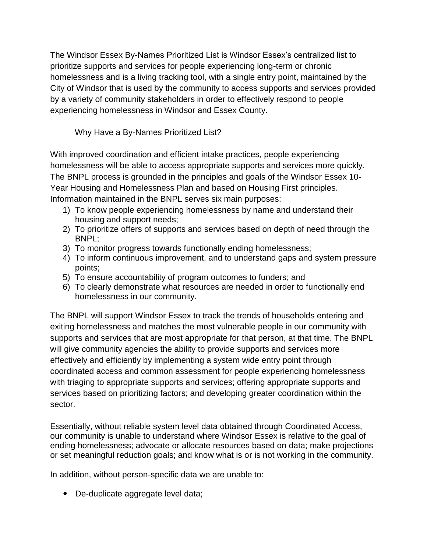The Windsor Essex By-Names Prioritized List is Windsor Essex's centralized list to prioritize supports and services for people experiencing long-term or chronic homelessness and is a living tracking tool, with a single entry point, maintained by the City of Windsor that is used by the community to access supports and services provided by a variety of community stakeholders in order to effectively respond to people experiencing homelessness in Windsor and Essex County.

Why Have a By-Names Prioritized List?

With improved coordination and efficient intake practices, people experiencing homelessness will be able to access appropriate supports and services more quickly. The BNPL process is grounded in the principles and goals of the Windsor Essex 10- Year Housing and Homelessness Plan and based on Housing First principles. Information maintained in the BNPL serves six main purposes:

- 1) To know people experiencing homelessness by name and understand their housing and support needs;
- 2) To prioritize offers of supports and services based on depth of need through the BNPL;
- 3) To monitor progress towards functionally ending homelessness;
- 4) To inform continuous improvement, and to understand gaps and system pressure points;
- 5) To ensure accountability of program outcomes to funders; and
- 6) To clearly demonstrate what resources are needed in order to functionally end homelessness in our community.

The BNPL will support Windsor Essex to track the trends of households entering and exiting homelessness and matches the most vulnerable people in our community with supports and services that are most appropriate for that person, at that time. The BNPL will give community agencies the ability to provide supports and services more effectively and efficiently by implementing a system wide entry point through coordinated access and common assessment for people experiencing homelessness with triaging to appropriate supports and services; offering appropriate supports and services based on prioritizing factors; and developing greater coordination within the sector.

Essentially, without reliable system level data obtained through Coordinated Access, our community is unable to understand where Windsor Essex is relative to the goal of ending homelessness; advocate or allocate resources based on data; make projections or set meaningful reduction goals; and know what is or is not working in the community.

In addition, without person-specific data we are unable to:

• De-duplicate aggregate level data;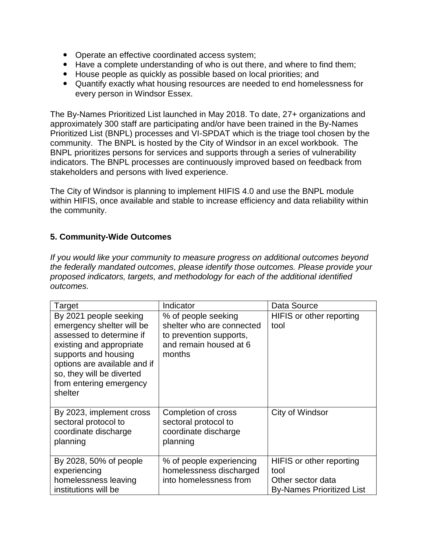- Operate an effective coordinated access system;
- Have a complete understanding of who is out there, and where to find them;
- House people as quickly as possible based on local priorities; and
- Quantify exactly what housing resources are needed to end homelessness for every person in Windsor Essex.

The By-Names Prioritized List launched in May 2018. To date, 27+ organizations and approximately 300 staff are participating and/or have been trained in the By-Names Prioritized List (BNPL) processes and VI-SPDAT which is the triage tool chosen by the community. The BNPL is hosted by the City of Windsor in an excel workbook. The BNPL prioritizes persons for services and supports through a series of vulnerability indicators. The BNPL processes are continuously improved based on feedback from stakeholders and persons with lived experience.

The City of Windsor is planning to implement HIFIS 4.0 and use the BNPL module within HIFIS, once available and stable to increase efficiency and data reliability within the community.

## <span id="page-8-0"></span>**5. Community-Wide Outcomes**

*If you would like your community to measure progress on additional outcomes beyond the federally mandated outcomes, please identify those outcomes. Please provide your proposed indicators, targets, and methodology for each of the additional identified outcomes.* 

| <b>Target</b>                                                                                                                                                                                                                          | Indicator                                                                                                       | Data Source                                                                               |
|----------------------------------------------------------------------------------------------------------------------------------------------------------------------------------------------------------------------------------------|-----------------------------------------------------------------------------------------------------------------|-------------------------------------------------------------------------------------------|
| By 2021 people seeking<br>emergency shelter will be<br>assessed to determine if<br>existing and appropriate<br>supports and housing<br>options are available and if<br>so, they will be diverted<br>from entering emergency<br>shelter | % of people seeking<br>shelter who are connected<br>to prevention supports,<br>and remain housed at 6<br>months | HIFIS or other reporting<br>tool                                                          |
| By 2023, implement cross<br>sectoral protocol to<br>coordinate discharge<br>planning                                                                                                                                                   | Completion of cross<br>sectoral protocol to<br>coordinate discharge<br>planning                                 | City of Windsor                                                                           |
| By 2028, 50% of people<br>experiencing<br>homelessness leaving<br>institutions will be                                                                                                                                                 | % of people experiencing<br>homelessness discharged<br>into homelessness from                                   | HIFIS or other reporting<br>tool<br>Other sector data<br><b>By-Names Prioritized List</b> |